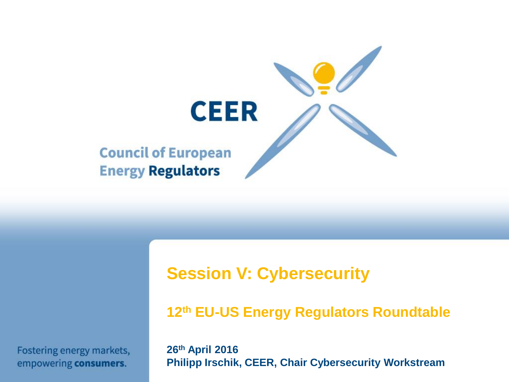

Fostering energy markets, empowering consumers.

**Session V: Cybersecurity**

**12th EU-US Energy Regulators Roundtable**

**26th April 2016 Philipp Irschik, CEER, Chair Cybersecurity Workstream**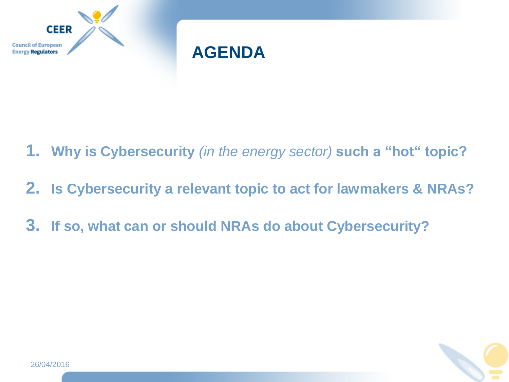



- **1. Why is Cybersecurity** *(in the energy sector)* **such a "hot" topic?**
- **2. Is Cybersecurity a relevant topic to act for lawmakers & NRAs?**
- **3. If so, what can or should NRAs do about Cybersecurity?**

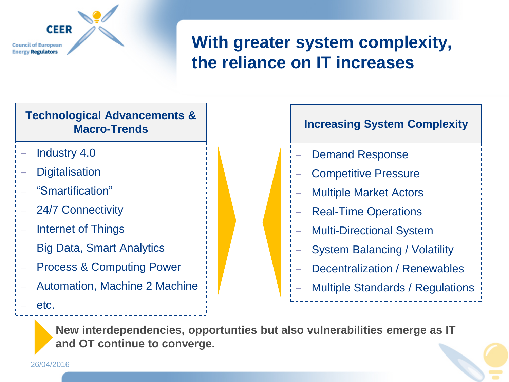

### **With greater system complexity, the reliance on IT increases**

#### **Technological Advancements & Macro-Trends**

- Industry 4.0
- **Digitalisation**

26/04/2016

etc.

- "Smartification"
- 24/7 Connectivity
- Internet of Things
- Big Data, Smart Analytics
- Process & Computing Power
- Automation, Machine 2 Machine
- Demand Response **Increasing System Complexity**
- Competitive Pressure
- Multiple Market Actors
- Real-Time Operations
- Multi-Directional System
- System Balancing / Volatility
- Decentralization / Renewables
- Multiple Standards / Regulations
- **New interdependencies, opportunties but also vulnerabilities emerge as IT and OT continue to converge.**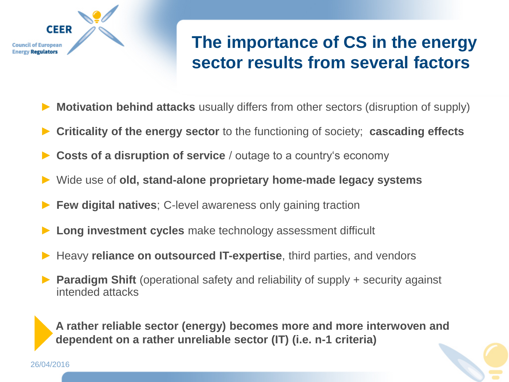

### **The importance of CS in the energy sector results from several factors**

- **Motivation behind attacks** usually differs from other sectors (disruption of supply)
- **Criticality of the energy sector** to the functioning of society; **cascading effects**
- **Costs of a disruption of service** / outage to a country's economy
- ► Wide use of **old, stand-alone proprietary home-made legacy systems**
- **Few digital natives**; C-level awareness only gaining traction
- **Long investment cycles** make technology assessment difficult
- Heavy **reliance on outsourced IT-expertise**, third parties, and vendors
- **Paradigm Shift** (operational safety and reliability of supply + security against intended attacks

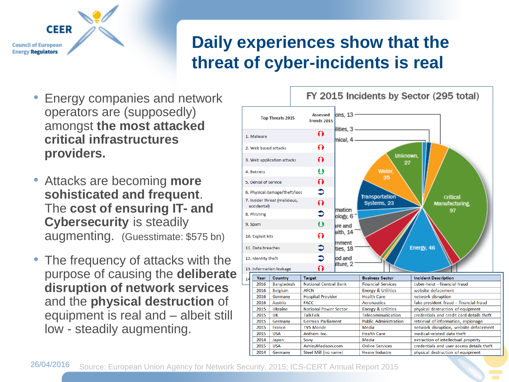

### **Daily experiences show that the threat of cyber-incidents is real**

- Energy companies and network operators are (supposedly) amongst **the most attacked critical infrastructures providers.**
- Attacks are becoming **more sohisticated and frequent**. The **cost of ensuring IT- and Cybersecurity** is steadily augmenting. (Guesstimate: \$575 bn)
- The frequency of attacks with the purpose of causing the **deliberate disruption of network services** and the **physical destruction** of equipment is real and – albeit still low - steadily augmenting.

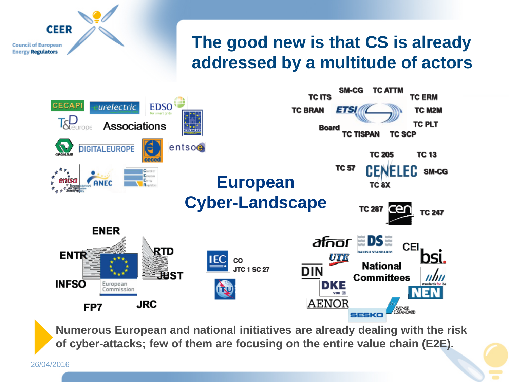

### **The good new is that CS is already addressed by a multitude of actors**



**Numerous European and national initiatives are already dealing with the risk of cyber-attacks; few of them are focusing on the entire value chain (E2E).**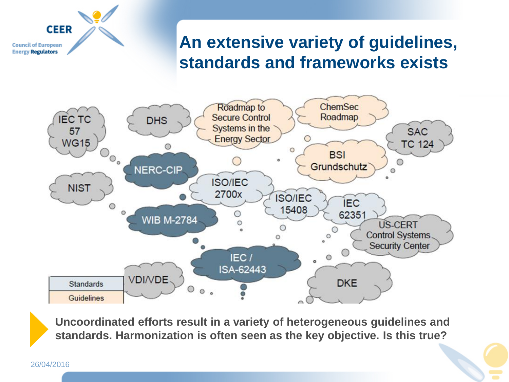### **An extensive variety of guidelines, standards and frameworks exists**



**Uncoordinated efforts result in a variety of heterogeneous guidelines and standards. Harmonization is often seen as the key objective. Is this true?**

#### 26/04/2016

**CEER** 

**Council of European Energy Regulators**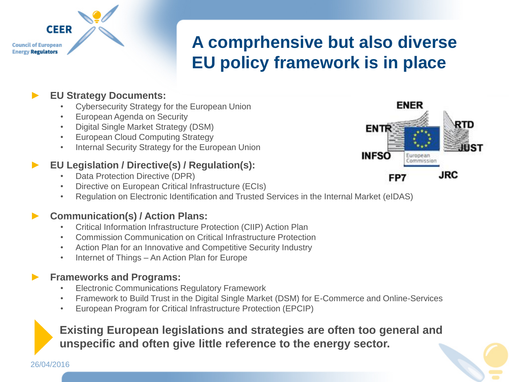### **A comprhensive but also diverse EU policy framework is in place**

#### ► **EU Strategy Documents:**

**CEER** 

**Council of European Energy Regulators** 

- Cybersecurity Strategy for the European Union
- European Agenda on Security
- Digital Single Market Strategy (DSM)
- European Cloud Computing Strategy
- Internal Security Strategy for the European Union

#### ► **EU Legislation / Directive(s) / Regulation(s):**

- Data Protection Directive (DPR)
- Directive on European Critical Infrastructure (ECIs)
- Regulation on Electronic Identification and Trusted Services in the Internal Market (eIDAS)

#### ► **Communication(s) / Action Plans:**

- Critical Information Infrastructure Protection (CIIP) Action Plan
- Commission Communication on Critical Infrastructure Protection
- Action Plan for an Innovative and Competitive Security Industry
- Internet of Things An Action Plan for Europe

#### ► **Frameworks and Programs:**

26/04/2016

- Electronic Communications Regulatory Framework
- Framework to Build Trust in the Digital Single Market (DSM) for E-Commerce and Online-Services
- European Program for Critical Infrastructure Protection (EPCIP)

#### **Existing European legislations and strategies are often too general and unspecific and often give little reference to the energy sector.**

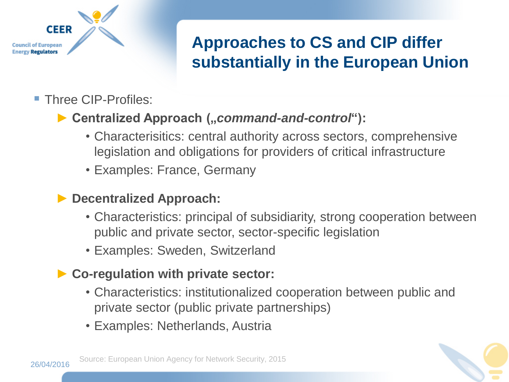

### **Approaches to CS and CIP differ substantially in the European Union**

**Three CIP-Profiles:** 

### ▶ Centralized Approach ("*command-and-control*"):

- Characterisitics: central authority across sectors, comprehensive legislation and obligations for providers of critical infrastructure
- Examples: France, Germany

#### ► **Decentralized Approach:**

- Characteristics: principal of subsidiarity, strong cooperation between public and private sector, sector-specific legislation
- Examples: Sweden, Switzerland

#### ► **Co-regulation with private sector:**

- Characteristics: institutionalized cooperation between public and private sector (public private partnerships)
- Examples: Netherlands, Austria

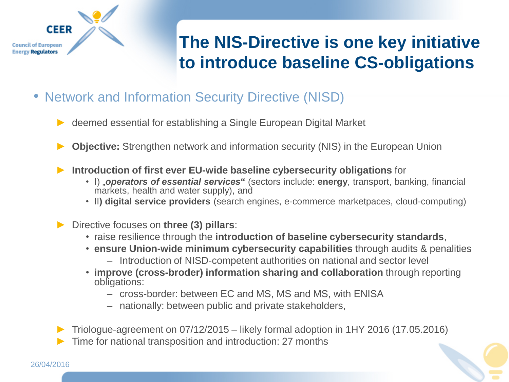

## **The NIS-Directive is one key initiative to introduce baseline CS-obligations**

- Network and Information Security Directive (NISD)
	- ► deemed essential for establishing a Single European Digital Market
	- **Objective:** Strengthen network and information security (NIS) in the European Union
	- **Introduction of first ever EU-wide baseline cybersecurity obligations** for
		- I) "*operators of essential services***"** (sectors include: **energy**, transport, banking, financial markets, health and water supply), and
		- II**) digital service providers** (search engines, e-commerce marketpaces, cloud-computing)
	- ► Directive focuses on **three (3) pillars**:
		- raise resilience through the **introduction of baseline cybersecurity standards**,
		- **ensure Union-wide minimum cybersecurity capabilities** through audits & penalities
			- Introduction of NISD-competent authorities on national and sector level
		- **improve (cross-broder) information sharing and collaboration** through reporting obligations:
			- cross-border: between EC and MS, MS and MS, with ENISA
			- nationally: between public and private stakeholders,

► Triologue-agreement on 07/12/2015 – likely formal adoption in 1HY 2016 (17.05.2016) Time for national transposition and introduction: 27 months

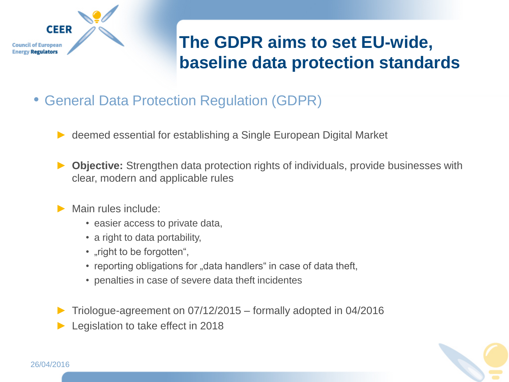

## **The GDPR aims to set EU-wide, baseline data protection standards**

- General Data Protection Regulation (GDPR)
	- deemed essential for establishing a Single European Digital Market
	- **Objective:** Strengthen data protection rights of individuals, provide businesses with clear, modern and applicable rules
	- Main rules include:
		- easier access to private data,
		- a right to data portability,
		- "right to be forgotten",
		- reporting obligations for "data handlers" in case of data theft,
		- penalties in case of severe data theft incidentes
	- ► Triologue-agreement on 07/12/2015 formally adopted in 04/2016
	- Legislation to take effect in 2018

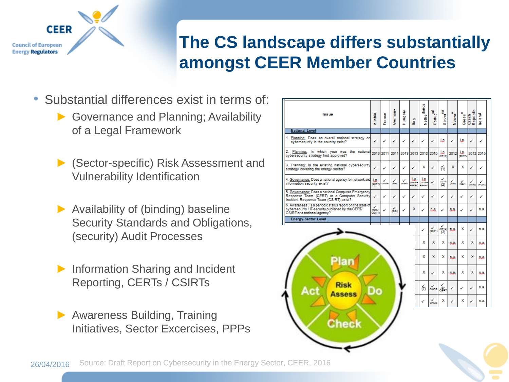

### **The CS landscape differs substantially amongst CEER Member Countries**

- Substantial differences exist in terms of:
	- ► Governance and Planning; Availability of a Legal Framework
	- ► (Sector-specific) Risk Assessment and Vulnerability Identification
	- $\blacktriangleright$  Availability of (binding) baseline Security Standards and Obligations, (security) Audit Processes
	- ► Information Sharing and Incident Reporting, CERTs / CSIRTs
	- ► Awareness Building, Training Initiatives, Sector Excercises, PPPs

| <b>Issue</b>                                                                                                                                   | Austria             | France    | Germany    | Hungary            | taly                       | Nethe <sup>rlands</sup>  | Portugal         | Slover <sup>118</sup> | $Nowa^V$         | Greec <sup>e</sup> | Czech<br>Republic    | Ireland     |
|------------------------------------------------------------------------------------------------------------------------------------------------|---------------------|-----------|------------|--------------------|----------------------------|--------------------------|------------------|-----------------------|------------------|--------------------|----------------------|-------------|
| <b>National Level</b>                                                                                                                          |                     |           |            |                    |                            |                          |                  |                       |                  |                    |                      |             |
| 1. Planning: Does an overall national strategy on<br>cybersecurity in the country exist?                                                       | ✓                   | ✓         | ✓          | ✓                  | ✓                          | ✓                        | ✓                | j.p.                  | ✓                | j.۵.               | ✓                    | ✓           |
| 2.<br>Planning: In which year was the national<br>cybersecurity strategy first approved?                                                       |                     | 2013 2011 | 2011       |                    | 2013 2013 2013             |                          | 2015             | LD.<br>(2016)         | 2012             | i.o.<br>(2017)     |                      | 2012 2015   |
| 3. Planning: Is the existing national cybersecurity<br>strategy covering the energy sector?                                                    | ✓                   | ✓         | ✓          | ✓                  | ✓                          | x                        | ✓                | 6h                    | x                | х                  | ✓                    | ✓           |
| 4. Governance: Does a national agency for network and<br>information security exist?                                                           | j.p.<br>(2017)      | iansan    | Y.         | ✓<br><b>OBLICA</b> | IJ.<br>(not one<br>agency) | i.R<br>not one<br>agency | ✓                | $\frac{1}{2}$         | $\frac{1}{0000}$ | iens.              | $\frac{1}{\sqrt{2}}$ | ✓<br>overes |
| 5. Governance: Does a national Computer Emergency<br>Response Team (CERT) or a Computer Security<br>Incident Response Team (CSIRT) exist?      | ✓                   | ✓         | ✓          | ✓                  | ✓                          | ✓                        | ✓                | ✓                     | ✓                | ✓                  | ✓                    | ✓           |
| 6. Awareness: Is a periodic status report on the state of<br>cybersecurity / IT-security published by the CERT/<br>CSIRT or a national agency? | ✓<br>(GOV.<br>CERT) | ✓         | ✓<br>(BSI) | ✓                  | x                          | ✓                        | п.а.             | ✓                     | n.a.             | ✓                  | ✓                    | n.a.        |
| <b>Energy Sector Level</b>                                                                                                                     |                     |           |            |                    |                            |                          |                  |                       |                  |                    |                      |             |
|                                                                                                                                                |                     |           |            |                    |                            | ✓                        | (2011)           | ✓<br>0014)<br>(3)     | n.a.             | х                  | ✓                    | n.a.        |
|                                                                                                                                                |                     |           |            |                    |                            | x                        | х                | х                     | n.a.             | х                  | x                    | n.a.        |
|                                                                                                                                                |                     |           |            |                    |                            | х                        | x                | x                     | n.a.             | х                  | x                    | п.а.        |
|                                                                                                                                                |                     |           |            |                    |                            | x                        | ✓                | х                     | n.a.             | x                  | x                    | n.a.        |
| Risk<br>ssess                                                                                                                                  |                     |           |            |                    |                            | ó,                       | $\frac{V}{CNC8}$ | si-<br>cĒRī           | ✓                | ✓                  |                      | n.a.        |
|                                                                                                                                                |                     |           |            |                    |                            | √                        | ✓<br>civca       | x                     | ✓                | х                  | ✓                    | n.a.        |
|                                                                                                                                                |                     |           |            |                    |                            |                          |                  |                       |                  |                    |                      |             |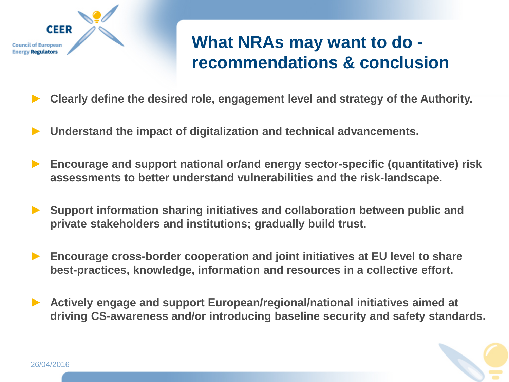

### **What NRAs may want to do recommendations & conclusion**

- ► **Clearly define the desired role, engagement level and strategy of the Authority.**
- ► **Understand the impact of digitalization and technical advancements.**
- ► **Encourage and support national or/and energy sector-specific (quantitative) risk assessments to better understand vulnerabilities and the risk-landscape.**
- ► **Support information sharing initiatives and collaboration between public and private stakeholders and institutions; gradually build trust.**
- ► **Encourage cross-border cooperation and joint initiatives at EU level to share best-practices, knowledge, information and resources in a collective effort.**
- ► **Actively engage and support European/regional/national initiatives aimed at driving CS-awareness and/or introducing baseline security and safety standards.**

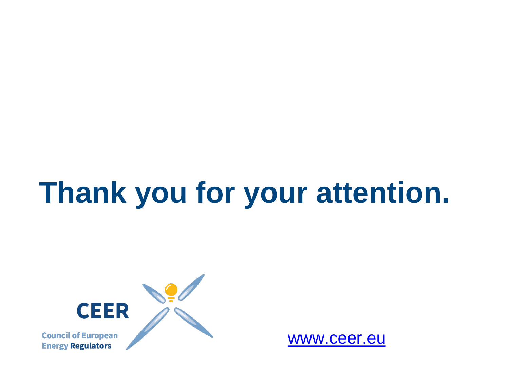# **Thank you for your attention.**



[www.ceer.eu](http://www.ceer.eu/)